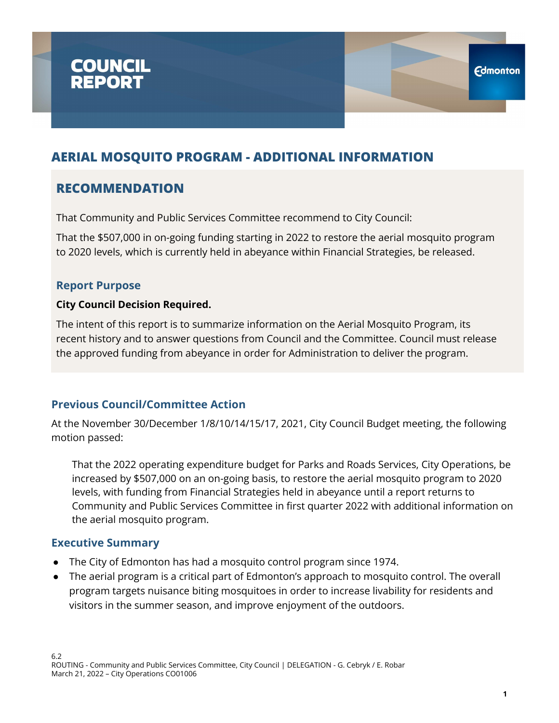

### **RECOMMENDATION**

That Community and Public Services Committee recommend to City Council:

That the \$507,000 in on-going funding starting in 2022 to restore the aerial mosquito program to 2020 levels, which is currently held in abeyance within Financial Strategies, be released.

#### **Report Purpose**

#### **City Council Decision Required.**

The intent of this report is to summarize information on the Aerial Mosquito Program, its recent history and to answer questions from Council and the Committee. Council must release the approved funding from abeyance in order for Administration to deliver the program.

#### **Previous Council/Committee Action**

At the November 30/December 1/8/10/14/15/17, 2021, City Council Budget meeting, the following motion passed:

That the 2022 operating expenditure budget for Parks and Roads Services, City Operations, be increased by \$507,000 on an on-going basis, to restore the aerial mosquito program to 2020 levels, with funding from Financial Strategies held in abeyance until a report returns to Community and Public Services Committee in first quarter 2022 with additional information on the aerial mosquito program.

#### **Executive Summary**

- The City of Edmonton has had a mosquito control program since 1974.
- The aerial program is a critical part of Edmonton's approach to mosquito control. The overall program targets nuisance biting mosquitoes in order to increase livability for residents and visitors in the summer season, and improve enjoyment of the outdoors.

**Edmonton**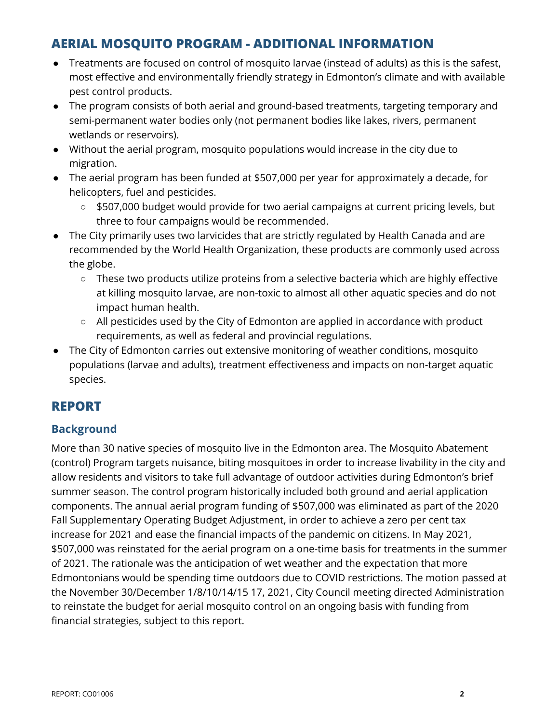- Treatments are focused on control of mosquito larvae (instead of adults) as this is the safest, most effective and environmentally friendly strategy in Edmonton's climate and with available pest control products.
- The program consists of both aerial and ground-based treatments, targeting temporary and semi-permanent water bodies only (not permanent bodies like lakes, rivers, permanent wetlands or reservoirs).
- Without the aerial program, mosquito populations would increase in the city due to migration.
- The aerial program has been funded at \$507,000 per year for approximately a decade, for helicopters, fuel and pesticides.
	- \$507,000 budget would provide for two aerial campaigns at current pricing levels, but three to four campaigns would be recommended.
- The City primarily uses two larvicides that are strictly regulated by Health Canada and are recommended by the World Health Organization, these products are commonly used across the globe.
	- These two products utilize proteins from a selective bacteria which are highly effective at killing mosquito larvae, are non-toxic to almost all other aquatic species and do not impact human health.
	- All pesticides used by the City of Edmonton are applied in accordance with product requirements, as well as federal and provincial regulations.
- The City of Edmonton carries out extensive monitoring of weather conditions, mosquito populations (larvae and adults), treatment effectiveness and impacts on non-target aquatic species.

# **REPORT**

### **Background**

More than 30 native species of mosquito live in the Edmonton area. The Mosquito Abatement (control) Program targets nuisance, biting mosquitoes in order to increase livability in the city and allow residents and visitors to take full advantage of outdoor activities during Edmonton's brief summer season. The control program historically included both ground and aerial application components. The annual aerial program funding of \$507,000 was eliminated as part of the 2020 Fall Supplementary Operating Budget Adjustment, in order to achieve a zero per cent tax increase for 2021 and ease the financial impacts of the pandemic on citizens. In May 2021, \$507,000 was reinstated for the aerial program on a one-time basis for treatments in the summer of 2021. The rationale was the anticipation of wet weather and the expectation that more Edmontonians would be spending time outdoors due to COVID restrictions. The motion passed at the November 30/December 1/8/10/14/15 17, 2021, City Council meeting directed Administration to reinstate the budget for aerial mosquito control on an ongoing basis with funding from financial strategies, subject to this report.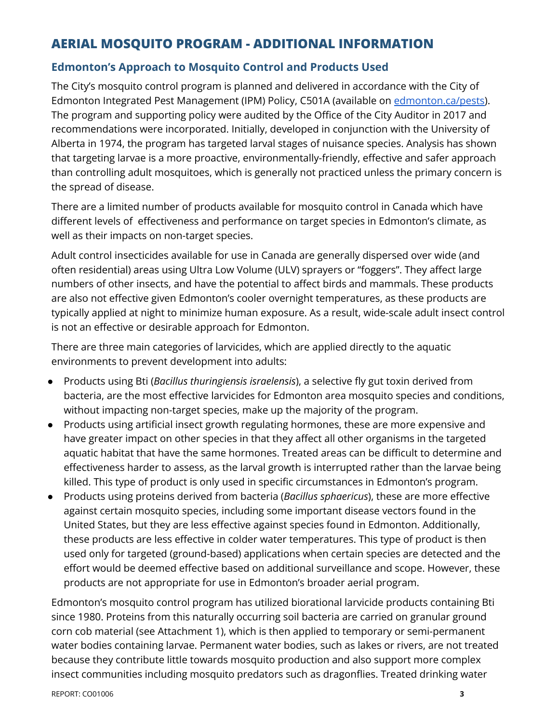#### **Edmonton's Approach to Mosquito Control and Products Used**

The City's mosquito control program is planned and delivered in accordance with the City of Edmonton Integrated Pest Management (IPM) Policy, C501A (available on [edmonton.ca/pests\)](http://edmonton.ca/pests). The program and supporting policy were audited by the Office of the City Auditor in 2017 and recommendations were incorporated. Initially, developed in conjunction with the University of Alberta in 1974, the program has targeted larval stages of nuisance species. Analysis has shown that targeting larvae is a more proactive, environmentally-friendly, effective and safer approach than controlling adult mosquitoes, which is generally not practiced unless the primary concern is the spread of disease.

There are a limited number of products available for mosquito control in Canada which have different levels of effectiveness and performance on target species in Edmonton's climate, as well as their impacts on non-target species.

Adult control insecticides available for use in Canada are generally dispersed over wide (and often residential) areas using Ultra Low Volume (ULV) sprayers or "foggers". They affect large numbers of other insects, and have the potential to affect birds and mammals. These products are also not effective given Edmonton's cooler overnight temperatures, as these products are typically applied at night to minimize human exposure. As a result, wide-scale adult insect control is not an effective or desirable approach for Edmonton.

There are three main categories of larvicides, which are applied directly to the aquatic environments to prevent development into adults:

- Products using Bti (*Bacillus thuringiensis israelensis*), a selective fly gut toxin derived from bacteria, are the most effective larvicides for Edmonton area mosquito species and conditions, without impacting non-target species, make up the majority of the program.
- Products using artificial insect growth regulating hormones, these are more expensive and have greater impact on other species in that they affect all other organisms in the targeted aquatic habitat that have the same hormones. Treated areas can be difficult to determine and effectiveness harder to assess, as the larval growth is interrupted rather than the larvae being killed. This type of product is only used in specific circumstances in Edmonton's program.
- Products using proteins derived from bacteria (*Bacillus sphaericus*), these are more effective against certain mosquito species, including some important disease vectors found in the United States, but they are less effective against species found in Edmonton. Additionally, these products are less effective in colder water temperatures. This type of product is then used only for targeted (ground-based) applications when certain species are detected and the effort would be deemed effective based on additional surveillance and scope. However, these products are not appropriate for use in Edmonton's broader aerial program.

Edmonton's mosquito control program has utilized biorational larvicide products containing Bti since 1980. Proteins from this naturally occurring soil bacteria are carried on granular ground corn cob material (see Attachment 1), which is then applied to temporary or semi-permanent water bodies containing larvae. Permanent water bodies, such as lakes or rivers, are not treated because they contribute little towards mosquito production and also support more complex insect communities including mosquito predators such as dragonflies. Treated drinking water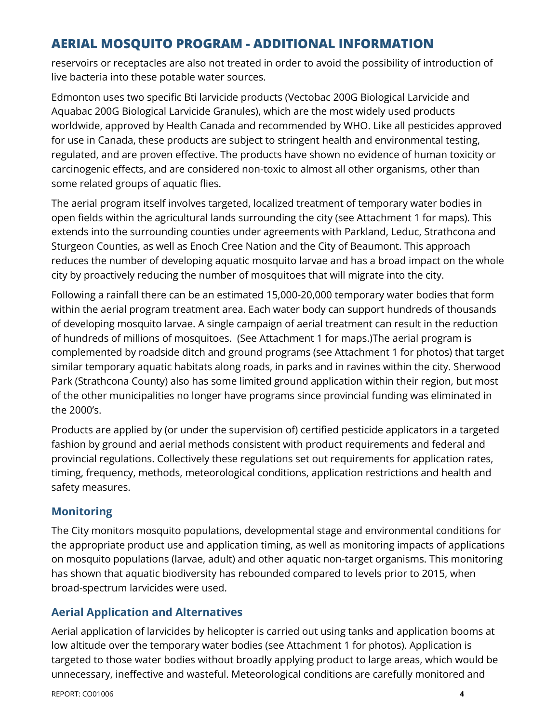reservoirs or receptacles are also not treated in order to avoid the possibility of introduction of live bacteria into these potable water sources.

Edmonton uses two specific Bti larvicide products (Vectobac 200G Biological Larvicide and Aquabac 200G Biological Larvicide Granules), which are the most widely used products worldwide, approved by Health Canada and recommended by WHO. Like all pesticides approved for use in Canada, these products are subject to stringent health and environmental testing, regulated, and are proven effective. The products have shown no evidence of human toxicity or carcinogenic effects, and are considered non-toxic to almost all other organisms, other than some related groups of aquatic flies.

The aerial program itself involves targeted, localized treatment of temporary water bodies in open fields within the agricultural lands surrounding the city (see Attachment 1 for maps). This extends into the surrounding counties under agreements with Parkland, Leduc, Strathcona and Sturgeon Counties, as well as Enoch Cree Nation and the City of Beaumont. This approach reduces the number of developing aquatic mosquito larvae and has a broad impact on the whole city by proactively reducing the number of mosquitoes that will migrate into the city.

Following a rainfall there can be an estimated 15,000-20,000 temporary water bodies that form within the aerial program treatment area. Each water body can support hundreds of thousands of developing mosquito larvae. A single campaign of aerial treatment can result in the reduction of hundreds of millions of mosquitoes. (See Attachment 1 for maps.)The aerial program is complemented by roadside ditch and ground programs (see Attachment 1 for photos) that target similar temporary aquatic habitats along roads, in parks and in ravines within the city. Sherwood Park (Strathcona County) also has some limited ground application within their region, but most of the other municipalities no longer have programs since provincial funding was eliminated in the 2000's.

Products are applied by (or under the supervision of) certified pesticide applicators in a targeted fashion by ground and aerial methods consistent with product requirements and federal and provincial regulations. Collectively these regulations set out requirements for application rates, timing, frequency, methods, meteorological conditions, application restrictions and health and safety measures.

### **Monitoring**

The City monitors mosquito populations, developmental stage and environmental conditions for the appropriate product use and application timing, as well as monitoring impacts of applications on mosquito populations (larvae, adult) and other aquatic non-target organisms. This monitoring has shown that aquatic biodiversity has rebounded compared to levels prior to 2015, when broad-spectrum larvicides were used.

### **Aerial Application and Alternatives**

Aerial application of larvicides by helicopter is carried out using tanks and application booms at low altitude over the temporary water bodies (see Attachment 1 for photos). Application is targeted to those water bodies without broadly applying product to large areas, which would be unnecessary, ineffective and wasteful. Meteorological conditions are carefully monitored and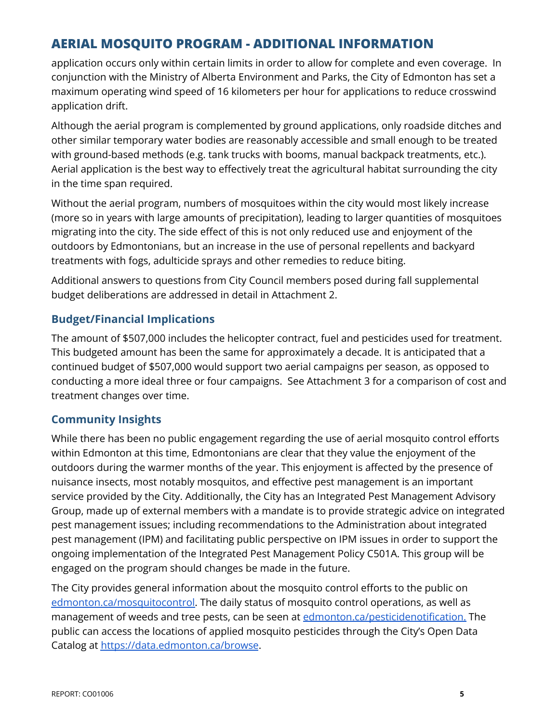application occurs only within certain limits in order to allow for complete and even coverage. In conjunction with the Ministry of Alberta Environment and Parks, the City of Edmonton has set a maximum operating wind speed of 16 kilometers per hour for applications to reduce crosswind application drift.

Although the aerial program is complemented by ground applications, only roadside ditches and other similar temporary water bodies are reasonably accessible and small enough to be treated with ground-based methods (e.g. tank trucks with booms, manual backpack treatments, etc.). Aerial application is the best way to effectively treat the agricultural habitat surrounding the city in the time span required.

Without the aerial program, numbers of mosquitoes within the city would most likely increase (more so in years with large amounts of precipitation), leading to larger quantities of mosquitoes migrating into the city. The side effect of this is not only reduced use and enjoyment of the outdoors by Edmontonians, but an increase in the use of personal repellents and backyard treatments with fogs, adulticide sprays and other remedies to reduce biting.

Additional answers to questions from City Council members posed during fall supplemental budget deliberations are addressed in detail in Attachment 2.

#### **Budget/Financial Implications**

The amount of \$507,000 includes the helicopter contract, fuel and pesticides used for treatment. This budgeted amount has been the same for approximately a decade. It is anticipated that a continued budget of \$507,000 would support two aerial campaigns per season, as opposed to conducting a more ideal three or four campaigns. See Attachment 3 for a comparison of cost and treatment changes over time.

#### **Community Insights**

While there has been no public engagement regarding the use of aerial mosquito control efforts within Edmonton at this time, Edmontonians are clear that they value the enjoyment of the outdoors during the warmer months of the year. This enjoyment is affected by the presence of nuisance insects, most notably mosquitos, and effective pest management is an important service provided by the City. Additionally, the City has an Integrated Pest Management Advisory Group, made up of external members with a mandate is to provide strategic advice on integrated pest management issues; including recommendations to the Administration about integrated pest management (IPM) and facilitating public perspective on IPM issues in order to support the ongoing implementation of the Integrated Pest Management Policy C501A. This group will be engaged on the program should changes be made in the future.

The City provides general information about the mosquito control efforts to the public on [edmonton.ca/mosquitocontrol.](https://www.edmonton.ca/mosquitocontrol) The daily status of mosquito control operations, as well as management of weeds and tree pests, can be seen at [edmonton.ca/pesticidenotification.](https://www.edmonton.ca/pesticidenotification) The public can access the locations of applied mosquito pesticides through the City's Open Data Catalog at <https://data.edmonton.ca/browse>.